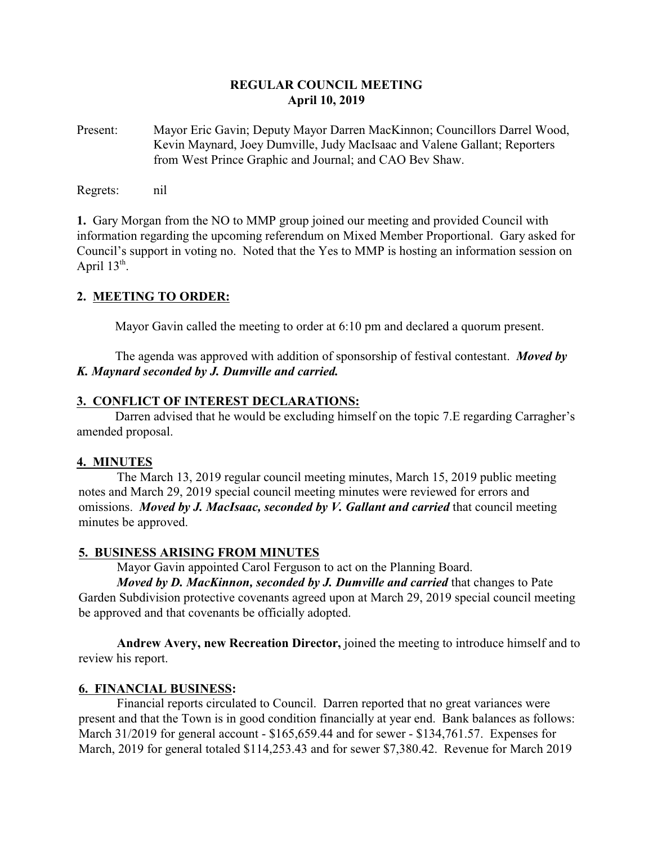## **REGULAR COUNCIL MEETING April 10, 2019**

Present: Mayor Eric Gavin; Deputy Mayor Darren MacKinnon; Councillors Darrel Wood, Kevin Maynard, Joey Dumville, Judy MacIsaac and Valene Gallant; Reporters from West Prince Graphic and Journal; and CAO Bev Shaw.

Regrets: nil

**1.** Gary Morgan from the NO to MMP group joined our meeting and provided Council with information regarding the upcoming referendum on Mixed Member Proportional. Gary asked for Council's support in voting no. Noted that the Yes to MMP is hosting an information session on April  $13<sup>th</sup>$ .

## **2. MEETING TO ORDER:**

Mayor Gavin called the meeting to order at 6:10 pm and declared a quorum present.

The agenda was approved with addition of sponsorship of festival contestant. *Moved by K. Maynard seconded by J. Dumville and carried.*

#### **3. CONFLICT OF INTEREST DECLARATIONS:**

Darren advised that he would be excluding himself on the topic 7.E regarding Carragher's amended proposal.

## **4. MINUTES**

The March 13, 2019 regular council meeting minutes, March 15, 2019 public meeting notes and March 29, 2019 special council meeting minutes were reviewed for errors and omissions. *Moved by J. MacIsaac, seconded by V. Gallant and carried* that council meeting minutes be approved.

## **5. BUSINESS ARISING FROM MINUTES**

Mayor Gavin appointed Carol Ferguson to act on the Planning Board.

*Moved by D. MacKinnon, seconded by J. Dumville and carried* that changes to Pate Garden Subdivision protective covenants agreed upon at March 29, 2019 special council meeting be approved and that covenants be officially adopted.

**Andrew Avery, new Recreation Director,** joined the meeting to introduce himself and to review his report.

## **6. FINANCIAL BUSINESS:**

Financial reports circulated to Council. Darren reported that no great variances were present and that the Town is in good condition financially at year end. Bank balances as follows: March 31/2019 for general account - \$165,659.44 and for sewer - \$134,761.57. Expenses for March, 2019 for general totaled \$114,253.43 and for sewer \$7,380.42. Revenue for March 2019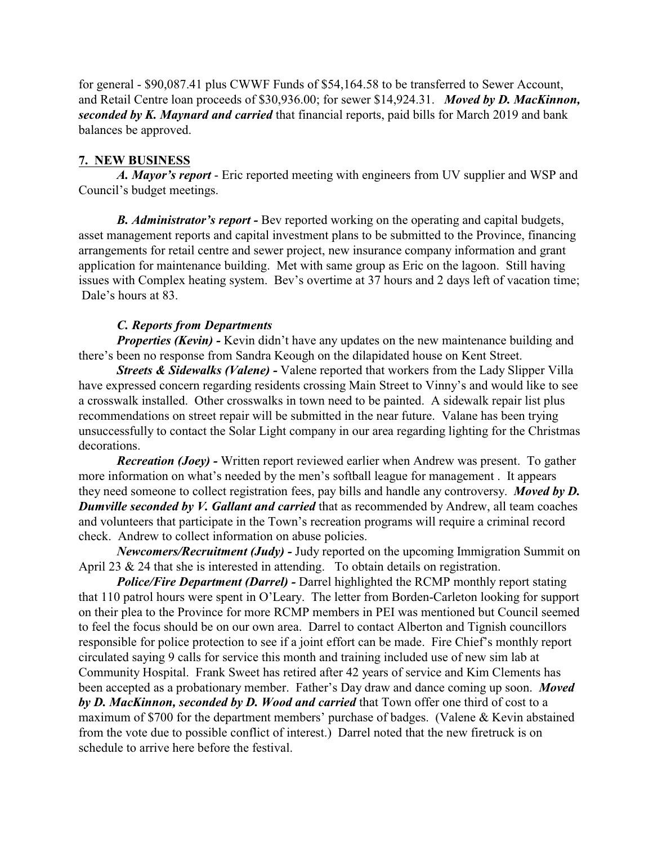for general - \$90,087.41 plus CWWF Funds of \$54,164.58 to be transferred to Sewer Account, and Retail Centre loan proceeds of \$30,936.00; for sewer \$14,924.31. *Moved by D. MacKinnon, seconded by K. Maynard and carried* that financial reports, paid bills for March 2019 and bank balances be approved.

#### **7. NEW BUSINESS**

*A. Mayor's report* - Eric reported meeting with engineers from UV supplier and WSP and Council's budget meetings.

*B. Administrator's report -* Bev reported working on the operating and capital budgets, asset management reports and capital investment plans to be submitted to the Province, financing arrangements for retail centre and sewer project, new insurance company information and grant application for maintenance building. Met with same group as Eric on the lagoon. Still having issues with Complex heating system. Bev's overtime at 37 hours and 2 days left of vacation time; Dale's hours at 83.

## *C. Reports from Departments*

*Properties (Kevin)* - Kevin didn't have any updates on the new maintenance building and there's been no response from Sandra Keough on the dilapidated house on Kent Street.

*Streets & Sidewalks (Valene) -* Valene reported that workers from the Lady Slipper Villa have expressed concern regarding residents crossing Main Street to Vinny's and would like to see a crosswalk installed. Other crosswalks in town need to be painted. A sidewalk repair list plus recommendations on street repair will be submitted in the near future. Valane has been trying unsuccessfully to contact the Solar Light company in our area regarding lighting for the Christmas decorations.

*Recreation (Joey)* - Written report reviewed earlier when Andrew was present. To gather more information on what's needed by the men's softball league for management . It appears they need someone to collect registration fees, pay bills and handle any controversy. *Moved by D. Dumville seconded by V. Gallant and carried* that as recommended by Andrew, all team coaches and volunteers that participate in the Town's recreation programs will require a criminal record check. Andrew to collect information on abuse policies.

*Newcomers/Recruitment (Judy) -* Judy reported on the upcoming Immigration Summit on April 23 & 24 that she is interested in attending. To obtain details on registration.

*Police/Fire Department (Darrel) -* Darrel highlighted the RCMP monthly report stating that 110 patrol hours were spent in O'Leary. The letter from Borden-Carleton looking for support on their plea to the Province for more RCMP members in PEI was mentioned but Council seemed to feel the focus should be on our own area. Darrel to contact Alberton and Tignish councillors responsible for police protection to see if a joint effort can be made. Fire Chief's monthly report circulated saying 9 calls for service this month and training included use of new sim lab at Community Hospital. Frank Sweet has retired after 42 years of service and Kim Clements has been accepted as a probationary member. Father's Day draw and dance coming up soon. *Moved by D. MacKinnon, seconded by D. Wood and carried* that Town offer one third of cost to a maximum of \$700 for the department members' purchase of badges. (Valene & Kevin abstained from the vote due to possible conflict of interest.) Darrel noted that the new firetruck is on schedule to arrive here before the festival.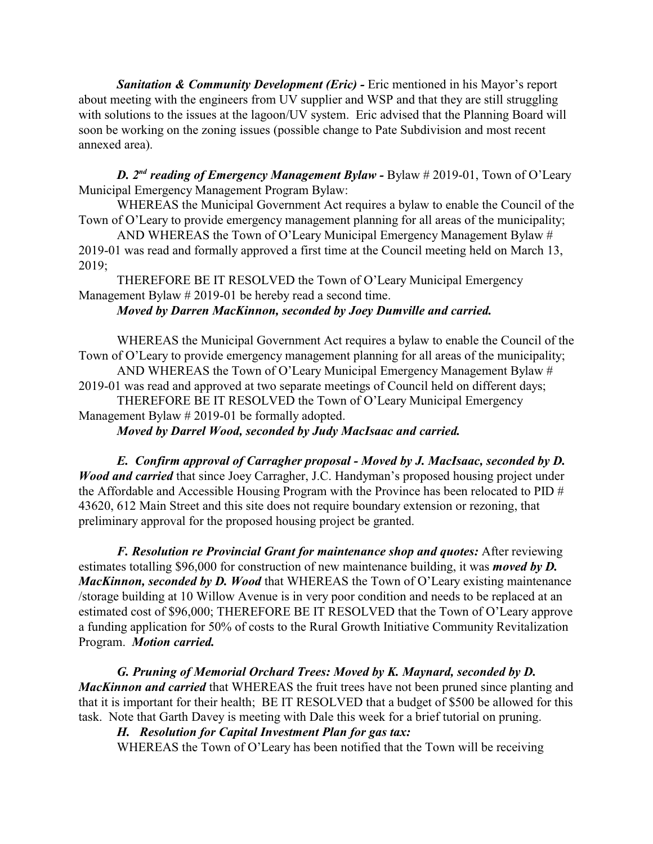*Sanitation & Community Development (Eric) -* Eric mentioned in his Mayor's report about meeting with the engineers from UV supplier and WSP and that they are still struggling with solutions to the issues at the lagoon/UV system. Eric advised that the Planning Board will soon be working on the zoning issues (possible change to Pate Subdivision and most recent annexed area).

*D. 2nd reading of Emergency Management Bylaw -* Bylaw # 2019-01, Town of O'Leary Municipal Emergency Management Program Bylaw:

WHEREAS the Municipal Government Act requires a bylaw to enable the Council of the Town of O'Leary to provide emergency management planning for all areas of the municipality;

AND WHEREAS the Town of O'Leary Municipal Emergency Management Bylaw # 2019-01 was read and formally approved a first time at the Council meeting held on March 13, 2019;

THEREFORE BE IT RESOLVED the Town of O'Leary Municipal Emergency Management Bylaw # 2019-01 be hereby read a second time.

## *Moved by Darren MacKinnon, seconded by Joey Dumville and carried.*

WHEREAS the Municipal Government Act requires a bylaw to enable the Council of the Town of O'Leary to provide emergency management planning for all areas of the municipality;

AND WHEREAS the Town of O'Leary Municipal Emergency Management Bylaw # 2019-01 was read and approved at two separate meetings of Council held on different days; THEREFORE BE IT RESOLVED the Town of O'Leary Municipal Emergency

Management Bylaw # 2019-01 be formally adopted.

*Moved by Darrel Wood, seconded by Judy MacIsaac and carried.*

*E. Confirm approval of Carragher proposal - Moved by J. MacIsaac, seconded by D. Wood and carried* that since Joey Carragher, J.C. Handyman's proposed housing project under the Affordable and Accessible Housing Program with the Province has been relocated to PID # 43620, 612 Main Street and this site does not require boundary extension or rezoning, that preliminary approval for the proposed housing project be granted.

*F. Resolution re Provincial Grant for maintenance shop and quotes:* After reviewing estimates totalling \$96,000 for construction of new maintenance building, it was *moved by D. MacKinnon, seconded by D. Wood* that WHEREAS the Town of O'Leary existing maintenance /storage building at 10 Willow Avenue is in very poor condition and needs to be replaced at an estimated cost of \$96,000; THEREFORE BE IT RESOLVED that the Town of O'Leary approve a funding application for 50% of costs to the Rural Growth Initiative Community Revitalization Program. *Motion carried.*

*G. Pruning of Memorial Orchard Trees: Moved by K. Maynard, seconded by D. MacKinnon and carried* that WHEREAS the fruit trees have not been pruned since planting and that it is important for their health; BE IT RESOLVED that a budget of \$500 be allowed for this task. Note that Garth Davey is meeting with Dale this week for a brief tutorial on pruning.

## *H. Resolution for Capital Investment Plan for gas tax:*

WHEREAS the Town of O'Leary has been notified that the Town will be receiving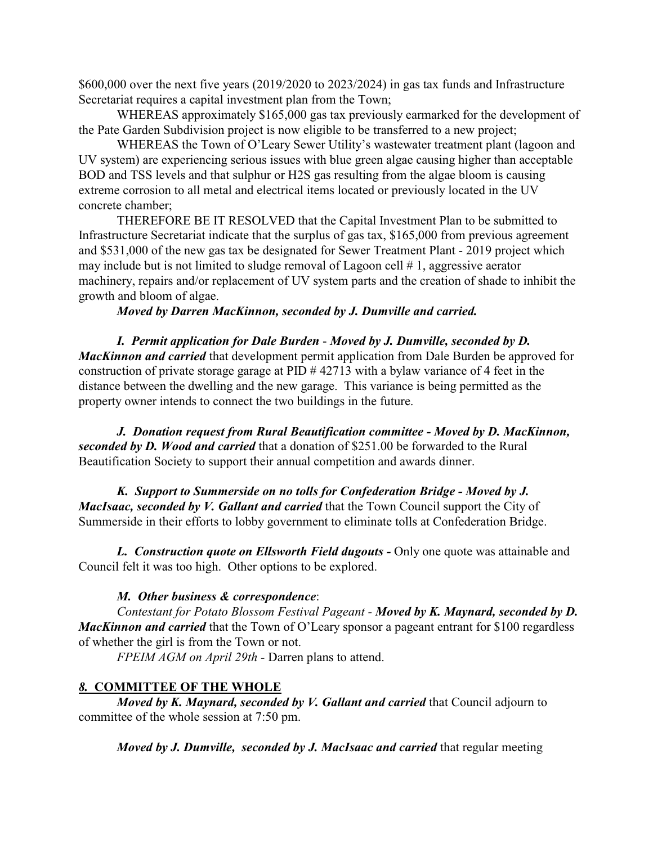\$600,000 over the next five years (2019/2020 to 2023/2024) in gas tax funds and Infrastructure Secretariat requires a capital investment plan from the Town;

WHEREAS approximately \$165,000 gas tax previously earmarked for the development of the Pate Garden Subdivision project is now eligible to be transferred to a new project;

WHEREAS the Town of O'Leary Sewer Utility's wastewater treatment plant (lagoon and UV system) are experiencing serious issues with blue green algae causing higher than acceptable BOD and TSS levels and that sulphur or H2S gas resulting from the algae bloom is causing extreme corrosion to all metal and electrical items located or previously located in the UV concrete chamber;

THEREFORE BE IT RESOLVED that the Capital Investment Plan to be submitted to Infrastructure Secretariat indicate that the surplus of gas tax, \$165,000 from previous agreement and \$531,000 of the new gas tax be designated for Sewer Treatment Plant - 2019 project which may include but is not limited to sludge removal of Lagoon cell # 1, aggressive aerator machinery, repairs and/or replacement of UV system parts and the creation of shade to inhibit the growth and bloom of algae.

*Moved by Darren MacKinnon, seconded by J. Dumville and carried.*

*I. Permit application for Dale Burden* - *Moved by J. Dumville, seconded by D. MacKinnon and carried* that development permit application from Dale Burden be approved for construction of private storage garage at  $PID # 42713$  with a bylaw variance of 4 feet in the distance between the dwelling and the new garage. This variance is being permitted as the property owner intends to connect the two buildings in the future.

*J. Donation request from Rural Beautification committee - Moved by D. MacKinnon, seconded by D. Wood and carried* that a donation of \$251.00 be forwarded to the Rural Beautification Society to support their annual competition and awards dinner.

*K. Support to Summerside on no tolls for Confederation Bridge - Moved by J. MacIsaac, seconded by V. Gallant and carried* that the Town Council support the City of Summerside in their efforts to lobby government to eliminate tolls at Confederation Bridge.

*L. Construction quote on Ellsworth Field dugouts - Only one quote was attainable and* Council felt it was too high. Other options to be explored.

#### *M. Other business & correspondence*:

*Contestant for Potato Blossom Festival Pageant - Moved by K. Maynard, seconded by D. MacKinnon and carried* that the Town of O'Leary sponsor a pageant entrant for \$100 regardless of whether the girl is from the Town or not.

*FPEIM AGM on April 29th -* Darren plans to attend.

#### *8.* **COMMITTEE OF THE WHOLE**

*Moved by K. Maynard, seconded by V. Gallant and carried that Council adjourn to* committee of the whole session at 7:50 pm.

*Moved by J. Dumville, seconded by J. MacIsaac and carried* that regular meeting